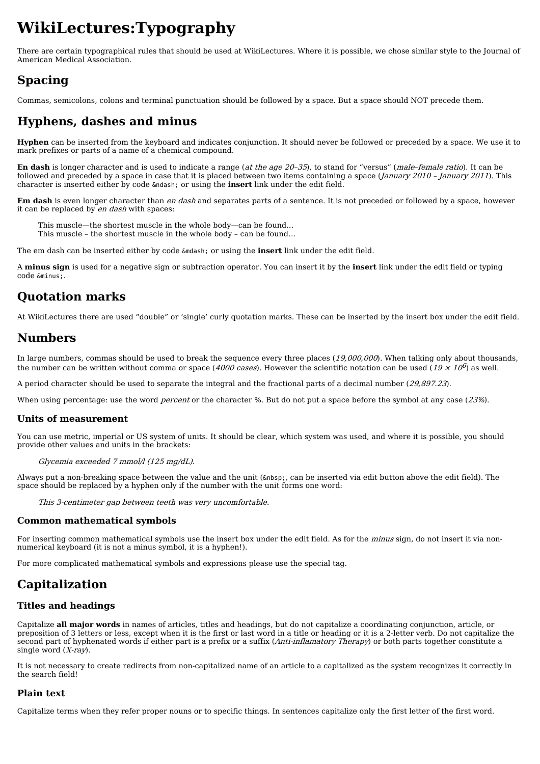# **WikiLectures:Typography**

There are certain typographical rules that should be used at WikiLectures. Where it is possible, we chose similar style to the Journal of American Medical Association.

### **Spacing**

Commas, semicolons, colons and terminal punctuation should be followed by a space. But a space should NOT precede them.

## **Hyphens, dashes and minus**

**Hyphen** can be inserted from the keyboard and indicates conjunction. It should never be followed or preceded by a space. We use it to mark prefixes or parts of a name of a chemical compound.

**En dash** is longer character and is used to indicate a range (at the age 20–35), to stand for "versus" (male–female ratio). It can be followed and preceded by a space in case that it is placed between two items containing a space (January 2010 - January 2011). This character is inserted either by code  $\&$ ndash; or using the **insert** link under the edit field.

**Em dash** is even longer character than en dash and separates parts of a sentence. It is not preceded or followed by a space, however it can be replaced by en dash with spaces:

This muscle—the shortest muscle in the whole body—can be found… This muscle – the shortest muscle in the whole body – can be found…

The em dash can be inserted either by code *&*mdash; or using the **insert** link under the edit field.

A **minus sign** is used for a negative sign or subtraction operator. You can insert it by the **insert** link under the edit field or typing code &minus:.

### **Quotation marks**

At WikiLectures there are used "double" or 'single' curly quotation marks. These can be inserted by the insert box under the edit field.

### **Numbers**

In large numbers, commas should be used to break the sequence every three places  $(19,000,000)$ . When talking only about thousands, the number can be written without comma or space (4000 *cases*). However the scientific notation can be used (19  $\times$  10<sup>6</sup>) as well.

A period character should be used to separate the integral and the fractional parts of a decimal number (29,897.23).

When using percentage: use the word *percent* or the character %. But do not put a space before the symbol at any case (23%).

#### **Units of measurement**

You can use metric, imperial or US system of units. It should be clear, which system was used, and where it is possible, you should provide other values and units in the brackets:

Glycemia exceeded 7 mmol/l (125 mg/dL).

Always put a non-breaking space between the value and the unit ( , can be inserted via edit button above the edit field). The space should be replaced by a hyphen only if the number with the unit forms one word:

This 3-centimeter gap between teeth was very uncomfortable.

#### **Common mathematical symbols**

For inserting common mathematical symbols use the insert box under the edit field. As for the *minus* sign, do not insert it via nonnumerical keyboard (it is not a minus symbol, it is a hyphen!).

For more complicated mathematical symbols and expressions please use the [special](https://www.wikilectures.eu/w/Help:Formulas) tag.

# **Capitalization**

#### **Titles and headings**

Capitalize **all major words** in names of articles, titles and headings, but do not capitalize a coordinating conjunction, article, or preposition of 3 letters or less, except when it is the first or last word in a title or heading or it is a 2-letter verb. Do not capitalize the second part of hyphenated words if either part is a prefix or a suffix (Anti-inflamatory Therapy) or both parts together constitute a single word  $(X-ray)$ .

It is not necessary to create redirects from non-capitalized name of an article to a capitalized as the system recognizes it correctly in the search field!

#### **Plain text**

Capitalize terms when they refer proper nouns or to specific things. In sentences capitalize only the first letter of the first word.